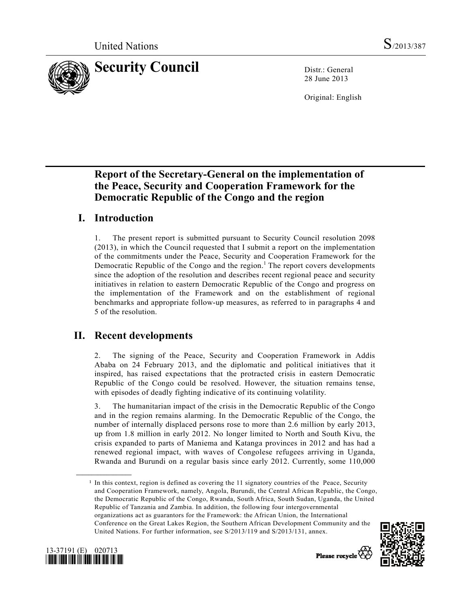

28 June 2013

Original: English

# **Report of the Secretary-General on the implementation of the Peace, Security and Cooperation Framework for the Democratic Republic of the Congo and the region**

# **I. Introduction**

1. The present report is submitted pursuant to Security Council resolution 2098 (2013), in which the Council requested that I submit a report on the implementation of the commitments under the Peace, Security and Cooperation Framework for the Democratic Republic of the Congo and the region.<sup>1</sup> The report covers developments since the adoption of the resolution and describes recent regional peace and security initiatives in relation to eastern Democratic Republic of the Congo and progress on the implementation of the Framework and on the establishment of regional benchmarks and appropriate follow-up measures, as referred to in paragraphs 4 and 5 of the resolution.

## **II. Recent developments**

2. The signing of the Peace, Security and Cooperation Framework in Addis Ababa on 24 February 2013, and the diplomatic and political initiatives that it inspired, has raised expectations that the protracted crisis in eastern Democratic Republic of the Congo could be resolved. However, the situation remains tense, with episodes of deadly fighting indicative of its continuing volatility.

3. The humanitarian impact of the crisis in the Democratic Republic of the Congo and in the region remains alarming. In the Democratic Republic of the Congo, the number of internally displaced persons rose to more than 2.6 million by early 2013, up from 1.8 million in early 2012. No longer limited to North and South Kivu, the crisis expanded to parts of Maniema and Katanga provinces in 2012 and has had a renewed regional impact, with waves of Congolese refugees arriving in Uganda, Rwanda and Burundi on a regular basis since early 2012. Currently, some 110,000

<sup>&</sup>lt;sup>1</sup> In this context, region is defined as covering the 11 signatory countries of the Peace, Security and Cooperation Framework, namely, Angola, Burundi, the Central African Republic, the Congo, the Democratic Republic of the Congo, Rwanda, South Africa, South Sudan, Uganda, the United Republic of Tanzania and Zambia. In addition, the following four intergovernmental organizations act as guarantors for the Framework: the African Union, the International Conference on the Great Lakes Region, the Southern African Development Community and the United Nations. For further information, see S/2013/119 and S/2013/131, annex.





**\_\_\_\_\_\_\_\_\_\_\_\_\_\_\_\_\_\_**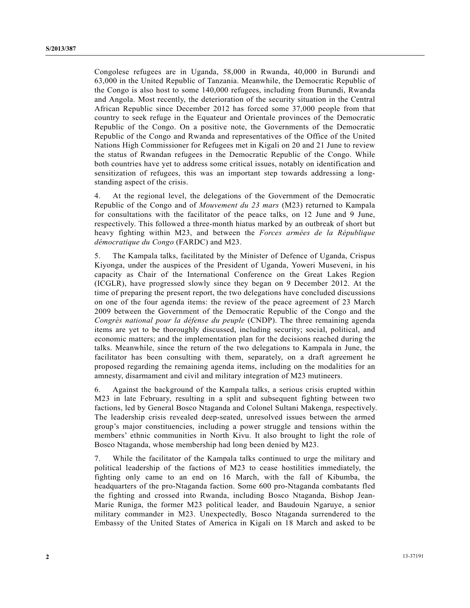Congolese refugees are in Uganda, 58,000 in Rwanda, 40,000 in Burundi and 63,000 in the United Republic of Tanzania. Meanwhile, the Democratic Republic of the Congo is also host to some 140,000 refugees, including from Burundi, Rwanda and Angola. Most recently, the deterioration of the security situation in the Central African Republic since December 2012 has forced some 37,000 people from that country to seek refuge in the Equateur and Orientale provinces of the Democratic Republic of the Congo. On a positive note, the Governments of the Democratic Republic of the Congo and Rwanda and representatives of the Office of the United Nations High Commissioner for Refugees met in Kigali on 20 and 21 June to review the status of Rwandan refugees in the Democratic Republic of the Congo. While both countries have yet to address some critical issues, notably on identification and sensitization of refugees, this was an important step towards addressing a longstanding aspect of the crisis.

4. At the regional level, the delegations of the Government of the Democratic Republic of the Congo and of *Mouvement du 23 mars* (M23) returned to Kampala for consultations with the facilitator of the peace talks, on 12 June and 9 June, respectively. This followed a three-month hiatus marked by an outbreak of short but heavy fighting within M23, and between the *Forces armées de la République démocratique du Congo* (FARDC) and M23.

5. The Kampala talks, facilitated by the Minister of Defence of Uganda, Crispus Kiyonga, under the auspices of the President of Uganda, Yoweri Museveni, in his capacity as Chair of the International Conference on the Great Lakes Region (ICGLR), have progressed slowly since they began on 9 December 2012. At the time of preparing the present report, the two delegations have concluded discussions on one of the four agenda items: the review of the peace agreement of 23 March 2009 between the Government of the Democratic Republic of the Congo and the *Congrès national pour la défense du peuple* (CNDP). The three remaining agenda items are yet to be thoroughly discussed, including security; social, political, and economic matters; and the implementation plan for the decisions reached during the talks. Meanwhile, since the return of the two delegations to Kampala in June, the facilitator has been consulting with them, separately, on a draft agreement he proposed regarding the remaining agenda items, including on the modalities for an amnesty, disarmament and civil and military integration of M23 mutineers.

6. Against the background of the Kampala talks, a serious crisis erupted within M23 in late February, resulting in a split and subsequent fighting between two factions, led by General Bosco Ntaganda and Colonel Sultani Makenga, respectively. The leadership crisis revealed deep-seated, unresolved issues between the armed group's major constituencies, including a power struggle and tensions within the members' ethnic communities in North Kivu. It also brought to light the role of Bosco Ntaganda, whose membership had long been denied by M23.

7. While the facilitator of the Kampala talks continued to urge the military and political leadership of the factions of M23 to cease hostilities immediately, the fighting only came to an end on 16 March, with the fall of Kibumba, the headquarters of the pro-Ntaganda faction. Some 600 pro-Ntaganda combatants fled the fighting and crossed into Rwanda, including Bosco Ntaganda, Bishop Jean-Marie Runiga, the former M23 political leader, and Baudouin Ngaruye, a senior military commander in M23. Unexpectedly, Bosco Ntaganda surrendered to the Embassy of the United States of America in Kigali on 18 March and asked to be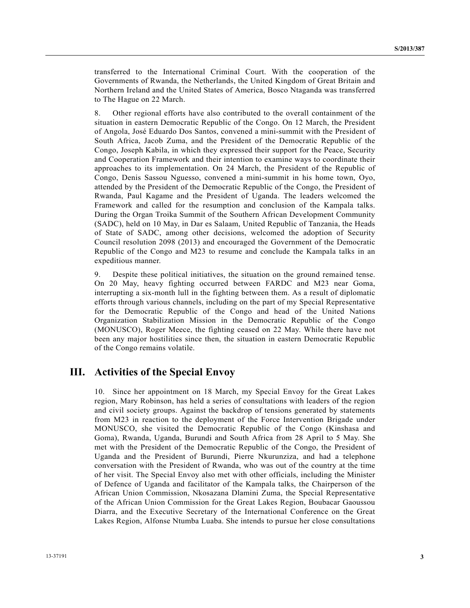transferred to the International Criminal Court. With the cooperation of the Governments of Rwanda, the Netherlands, the United Kingdom of Great Britain and Northern Ireland and the United States of America, Bosco Ntaganda was transferred to The Hague on 22 March.

8. Other regional efforts have also contributed to the overall containment of the situation in eastern Democratic Republic of the Congo. On 12 March, the President of Angola, José Eduardo Dos Santos, convened a mini-summit with the President of South Africa, Jacob Zuma, and the President of the Democratic Republic of the Congo, Joseph Kabila, in which they expressed their support for the Peace, Security and Cooperation Framework and their intention to examine ways to coordinate their approaches to its implementation. On 24 March, the President of the Republic of Congo, Denis Sassou Nguesso, convened a mini-summit in his home town, Oyo, attended by the President of the Democratic Republic of the Congo, the President of Rwanda, Paul Kagame and the President of Uganda. The leaders welcomed the Framework and called for the resumption and conclusion of the Kampala talks. During the Organ Troika Summit of the Southern African Development Community (SADC), held on 10 May, in Dar es Salaam, United Republic of Tanzania, the Heads of State of SADC, among other decisions, welcomed the adoption of Security Council resolution 2098 (2013) and encouraged the Government of the Democratic Republic of the Congo and M23 to resume and conclude the Kampala talks in an expeditious manner.

9. Despite these political initiatives, the situation on the ground remained tense. On 20 May, heavy fighting occurred between FARDC and M23 near Goma, interrupting a six-month lull in the fighting between them. As a result of diplomatic efforts through various channels, including on the part of my Special Representative for the Democratic Republic of the Congo and head of the United Nations Organization Stabilization Mission in the Democratic Republic of the Congo (MONUSCO), Roger Meece, the fighting ceased on 22 May. While there have not been any major hostilities since then, the situation in eastern Democratic Republic of the Congo remains volatile.

### **III. Activities of the Special Envoy**

10. Since her appointment on 18 March, my Special Envoy for the Great Lakes region, Mary Robinson, has held a series of consultations with leaders of the region and civil society groups. Against the backdrop of tensions generated by statements from M23 in reaction to the deployment of the Force Intervention Brigade under MONUSCO, she visited the Democratic Republic of the Congo (Kinshasa and Goma), Rwanda, Uganda, Burundi and South Africa from 28 April to 5 May. She met with the President of the Democratic Republic of the Congo, the President of Uganda and the President of Burundi, Pierre Nkurunziza, and had a telephone conversation with the President of Rwanda, who was out of the country at the time of her visit. The Special Envoy also met with other officials, including the Minister of Defence of Uganda and facilitator of the Kampala talks, the Chairperson of the African Union Commission, Nkosazana Dlamini Zuma, the Special Representative of the African Union Commission for the Great Lakes Region, Boubacar Gaoussou Diarra, and the Executive Secretary of the International Conference on the Great Lakes Region, Alfonse Ntumba Luaba. She intends to pursue her close consultations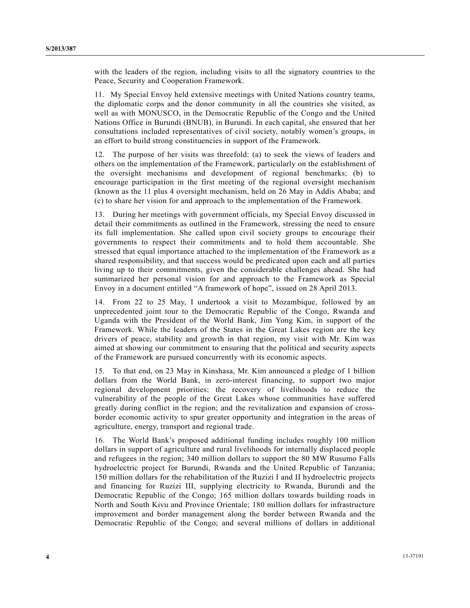with the leaders of the region, including visits to all the signatory countries to the Peace, Security and Cooperation Framework.

11. My Special Envoy held extensive meetings with United Nations country teams, the diplomatic corps and the donor community in all the countries she visited, as well as with MONUSCO, in the Democratic Republic of the Congo and the United Nations Office in Burundi (BNUB), in Burundi. In each capital, she ensured that her consultations included representatives of civil society, notably women's groups, in an effort to build strong constituencies in support of the Framework.

12. The purpose of her visits was threefold: (a) to seek the views of leaders and others on the implementation of the Framework, particularly on the establishment of the oversight mechanisms and development of regional benchmarks; (b) to encourage participation in the first meeting of the regional oversight mechanism (known as the 11 plus 4 oversight mechanism, held on 26 May in Addis Ababa; and (c) to share her vision for and approach to the implementation of the Framework.

13. During her meetings with government officials, my Special Envoy discussed in detail their commitments as outlined in the Framework, stressing the need to ensure its full implementation. She called upon civil society groups to encourage their governments to respect their commitments and to hold them accountable. She stressed that equal importance attached to the implementation of the Framework as a shared responsibility, and that success would be predicated upon each and all parties living up to their commitments, given the considerable challenges ahead. She had summarized her personal vision for and approach to the Framework as Special Envoy in a document entitled "A framework of hope", issued on 28 April 2013.

14. From 22 to 25 May, I undertook a visit to Mozambique, followed by an unprecedented joint tour to the Democratic Republic of the Congo, Rwanda and Uganda with the President of the World Bank, Jim Yong Kim, in support of the Framework. While the leaders of the States in the Great Lakes region are the key drivers of peace, stability and growth in that region, my visit with Mr. Kim was aimed at showing our commitment to ensuring that the political and security aspects of the Framework are pursued concurrently with its economic aspects.

15. To that end, on 23 May in Kinshasa, Mr. Kim announced a pledge of 1 billion dollars from the World Bank, in zero-interest financing, to support two major regional development priorities: the recovery of livelihoods to reduce the vulnerability of the people of the Great Lakes whose communities have suffered greatly during conflict in the region; and the revitalization and expansion of crossborder economic activity to spur greater opportunity and integration in the areas of agriculture, energy, transport and regional trade.

16. The World Bank's proposed additional funding includes roughly 100 million dollars in support of agriculture and rural livelihoods for internally displaced people and refugees in the region; 340 million dollars to support the 80 MW Rusumo Falls hydroelectric project for Burundi, Rwanda and the United Republic of Tanzania; 150 million dollars for the rehabilitation of the Ruzizi I and II hydroelectric projects and financing for Ruzizi III, supplying electricity to Rwanda, Burundi and the Democratic Republic of the Congo; 165 million dollars towards building roads in North and South Kivu and Province Orientale; 180 million dollars for infrastructure improvement and border management along the border between Rwanda and the Democratic Republic of the Congo; and several millions of dollars in additional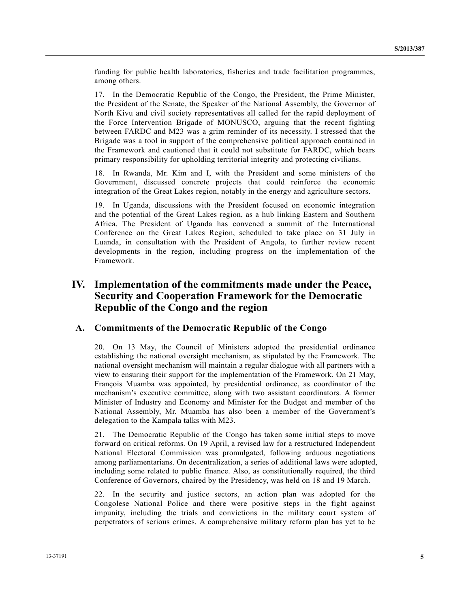funding for public health laboratories, fisheries and trade facilitation programmes, among others.

17. In the Democratic Republic of the Congo, the President, the Prime Minister, the President of the Senate, the Speaker of the National Assembly, the Governor of North Kivu and civil society representatives all called for the rapid deployment of the Force Intervention Brigade of MONUSCO, arguing that the recent fighting between FARDC and M23 was a grim reminder of its necessity. I stressed that the Brigade was a tool in support of the comprehensive political approach contained in the Framework and cautioned that it could not substitute for FARDC, which bears primary responsibility for upholding territorial integrity and protecting civilians.

18. In Rwanda, Mr. Kim and I, with the President and some ministers of the Government, discussed concrete projects that could reinforce the economic integration of the Great Lakes region, notably in the energy and agriculture sectors.

19. In Uganda, discussions with the President focused on economic integration and the potential of the Great Lakes region, as a hub linking Eastern and Southern Africa. The President of Uganda has convened a summit of the International Conference on the Great Lakes Region, scheduled to take place on 31 July in Luanda, in consultation with the President of Angola, to further review recent developments in the region, including progress on the implementation of the Framework.

### **IV. Implementation of the commitments made under the Peace, Security and Cooperation Framework for the Democratic Republic of the Congo and the region**

#### **A. Commitments of the Democratic Republic of the Congo**

20. On 13 May, the Council of Ministers adopted the presidential ordinance establishing the national oversight mechanism, as stipulated by the Framework. The national oversight mechanism will maintain a regular dialogue with all partners with a view to ensuring their support for the implementation of the Framework. On 21 May, François Muamba was appointed, by presidential ordinance, as coordinator of the mechanism's executive committee, along with two assistant coordinators. A former Minister of Industry and Economy and Minister for the Budget and member of the National Assembly, Mr. Muamba has also been a member of the Government's delegation to the Kampala talks with M23.

21. The Democratic Republic of the Congo has taken some initial steps to move forward on critical reforms. On 19 April, a revised law for a restructured Independent National Electoral Commission was promulgated, following arduous negotiations among parliamentarians. On decentralization, a series of additional laws were adopted, including some related to public finance. Also, as constitutionally required, the third Conference of Governors, chaired by the Presidency, was held on 18 and 19 March.

22. In the security and justice sectors, an action plan was adopted for the Congolese National Police and there were positive steps in the fight against impunity, including the trials and convictions in the military court system of perpetrators of serious crimes. A comprehensive military reform plan has yet to be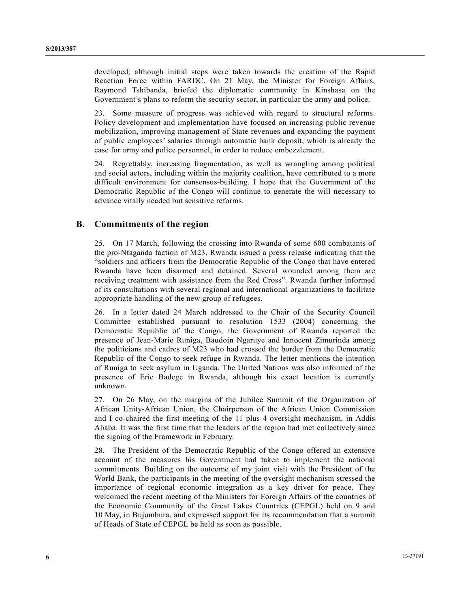developed, although initial steps were taken towards the creation of the Rapid Reaction Force within FARDC. On 21 May, the Minister for Foreign Affairs, Raymond Tshibanda, briefed the diplomatic community in Kinshasa on the Government's plans to reform the security sector, in particular the army and police.

23. Some measure of progress was achieved with regard to structural reforms. Policy development and implementation have focused on increasing public revenue mobilization, improving management of State revenues and expanding the payment of public employees' salaries through automatic bank deposit, which is already the case for army and police personnel, in order to reduce embezzlement.

24. Regrettably, increasing fragmentation, as well as wrangling among political and social actors, including within the majority coalition, have contributed to a more difficult environment for consensus-building. I hope that the Government of the Democratic Republic of the Congo will continue to generate the will necessary to advance vitally needed but sensitive reforms.

### **B. Commitments of the region**

25. On 17 March, following the crossing into Rwanda of some 600 combatants of the pro-Ntaganda faction of M23, Rwanda issued a press release indicating that the "soldiers and officers from the Democratic Republic of the Congo that have entered Rwanda have been disarmed and detained. Several wounded among them are receiving treatment with assistance from the Red Cross". Rwanda further informed of its consultations with several regional and international organizations to facilitate appropriate handling of the new group of refugees.

26. In a letter dated 24 March addressed to the Chair of the Security Council Committee established pursuant to resolution 1533 (2004) concerning the Democratic Republic of the Congo, the Government of Rwanda reported the presence of Jean-Marie Runiga, Baudoin Ngaruye and Innocent Zimurinda among the politicians and cadres of M23 who had crossed the border from the Democratic Republic of the Congo to seek refuge in Rwanda. The letter mentions the intention of Runiga to seek asylum in Uganda. The United Nations was also informed of the presence of Eric Badege in Rwanda, although his exact location is currently unknown.

27. On 26 May, on the margins of the Jubilee Summit of the Organization of African Unity-African Union, the Chairperson of the African Union Commission and I co-chaired the first meeting of the 11 plus 4 oversight mechanism, in Addis Ababa. It was the first time that the leaders of the region had met collectively since the signing of the Framework in February.

28. The President of the Democratic Republic of the Congo offered an extensive account of the measures his Government had taken to implement the national commitments. Building on the outcome of my joint visit with the President of the World Bank, the participants in the meeting of the oversight mechanism stressed the importance of regional economic integration as a key driver for peace. They welcomed the recent meeting of the Ministers for Foreign Affairs of the countries of the Economic Community of the Great Lakes Countries (CEPGL) held on 9 and 10 May, in Bujumbura, and expressed support for its recommendation that a summit of Heads of State of CEPGL be held as soon as possible.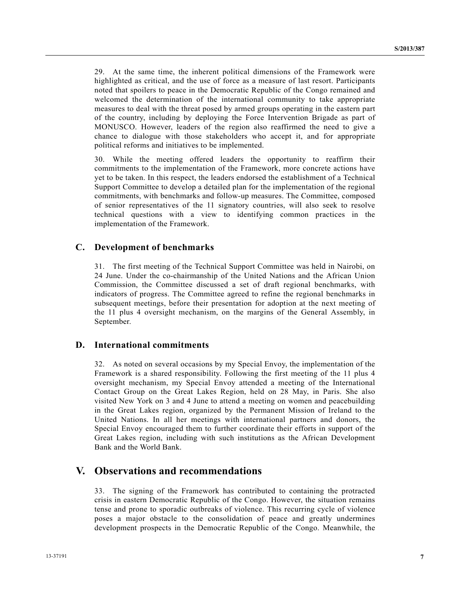29. At the same time, the inherent political dimensions of the Framework were highlighted as critical, and the use of force as a measure of last resort. Participants noted that spoilers to peace in the Democratic Republic of the Congo remained and welcomed the determination of the international community to take appropriate measures to deal with the threat posed by armed groups operating in the eastern part of the country, including by deploying the Force Intervention Brigade as part of MONUSCO. However, leaders of the region also reaffirmed the need to give a chance to dialogue with those stakeholders who accept it, and for appropriate political reforms and initiatives to be implemented.

30. While the meeting offered leaders the opportunity to reaffirm their commitments to the implementation of the Framework, more concrete actions have yet to be taken. In this respect, the leaders endorsed the establishment of a Technical Support Committee to develop a detailed plan for the implementation of the regional commitments, with benchmarks and follow-up measures. The Committee, composed of senior representatives of the 11 signatory countries, will also seek to resolve technical questions with a view to identifying common practices in the implementation of the Framework.

#### **C. Development of benchmarks**

31. The first meeting of the Technical Support Committee was held in Nairobi, on 24 June. Under the co-chairmanship of the United Nations and the African Union Commission, the Committee discussed a set of draft regional benchmarks, with indicators of progress. The Committee agreed to refine the regional benchmarks in subsequent meetings, before their presentation for adoption at the next meeting of the 11 plus 4 oversight mechanism, on the margins of the General Assembly, in September.

#### **D. International commitments**

32. As noted on several occasions by my Special Envoy, the implementation of the Framework is a shared responsibility. Following the first meeting of the 11 plus 4 oversight mechanism, my Special Envoy attended a meeting of the International Contact Group on the Great Lakes Region, held on 28 May, in Paris. She also visited New York on 3 and 4 June to attend a meeting on women and peacebuilding in the Great Lakes region, organized by the Permanent Mission of Ireland to the United Nations. In all her meetings with international partners and donors, the Special Envoy encouraged them to further coordinate their efforts in support of the Great Lakes region, including with such institutions as the African Development Bank and the World Bank.

### **V. Observations and recommendations**

33. The signing of the Framework has contributed to containing the protracted crisis in eastern Democratic Republic of the Congo. However, the situation remains tense and prone to sporadic outbreaks of violence. This recurring cycle of violence poses a major obstacle to the consolidation of peace and greatly undermines development prospects in the Democratic Republic of the Congo. Meanwhile, the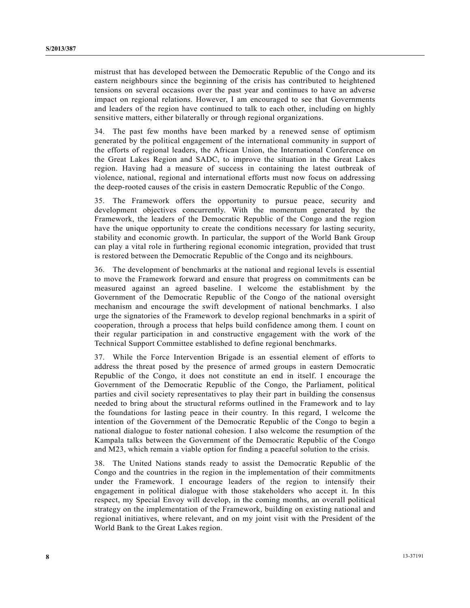mistrust that has developed between the Democratic Republic of the Congo and its eastern neighbours since the beginning of the crisis has contributed to heightened tensions on several occasions over the past year and continues to have an adverse impact on regional relations. However, I am encouraged to see that Governments and leaders of the region have continued to talk to each other, including on highly sensitive matters, either bilaterally or through regional organizations.

34. The past few months have been marked by a renewed sense of optimism generated by the political engagement of the international community in support of the efforts of regional leaders, the African Union, the International Conference on the Great Lakes Region and SADC, to improve the situation in the Great Lakes region. Having had a measure of success in containing the latest outbreak of violence, national, regional and international efforts must now focus on addressing the deep-rooted causes of the crisis in eastern Democratic Republic of the Congo.

35. The Framework offers the opportunity to pursue peace, security and development objectives concurrently. With the momentum generated by the Framework, the leaders of the Democratic Republic of the Congo and the region have the unique opportunity to create the conditions necessary for lasting security, stability and economic growth. In particular, the support of the World Bank Group can play a vital role in furthering regional economic integration, provided that trust is restored between the Democratic Republic of the Congo and its neighbours.

36. The development of benchmarks at the national and regional levels is essential to move the Framework forward and ensure that progress on commitments can be measured against an agreed baseline. I welcome the establishment by the Government of the Democratic Republic of the Congo of the national oversight mechanism and encourage the swift development of national benchmarks. I also urge the signatories of the Framework to develop regional benchmarks in a spirit of cooperation, through a process that helps build confidence among them. I count on their regular participation in and constructive engagement with the work of the Technical Support Committee established to define regional benchmarks.

37. While the Force Intervention Brigade is an essential element of efforts to address the threat posed by the presence of armed groups in eastern Democratic Republic of the Congo, it does not constitute an end in itself. I encourage the Government of the Democratic Republic of the Congo, the Parliament, political parties and civil society representatives to play their part in building the consensus needed to bring about the structural reforms outlined in the Framework and to lay the foundations for lasting peace in their country. In this regard, I welcome the intention of the Government of the Democratic Republic of the Congo to begin a national dialogue to foster national cohesion. I also welcome the resumption of the Kampala talks between the Government of the Democratic Republic of the Congo and M23, which remain a viable option for finding a peaceful solution to the crisis.

38. The United Nations stands ready to assist the Democratic Republic of the Congo and the countries in the region in the implementation of their commitments under the Framework. I encourage leaders of the region to intensify their engagement in political dialogue with those stakeholders who accept it. In this respect, my Special Envoy will develop, in the coming months, an overall political strategy on the implementation of the Framework, building on existing national and regional initiatives, where relevant, and on my joint visit with the President of the World Bank to the Great Lakes region.